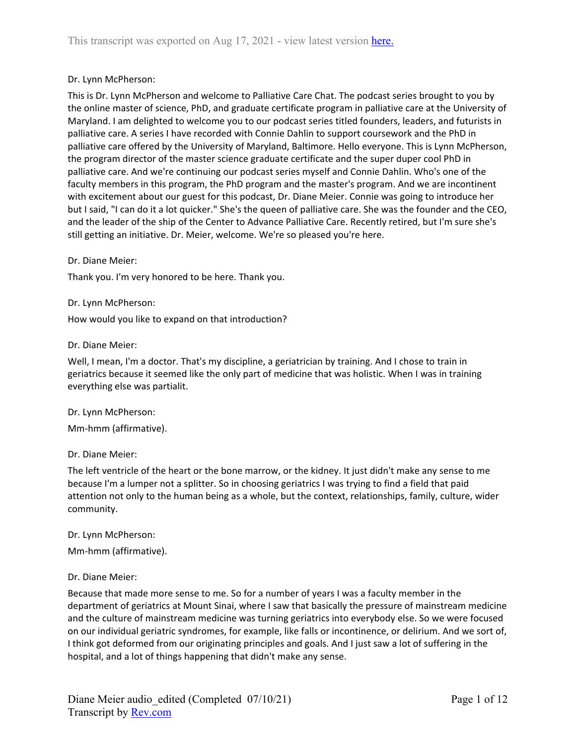## Dr. Lynn McPherson:

This is Dr. Lynn McPherson and welcome to Palliative Care Chat. The podcast series brought to you by the online master of science, PhD, and graduate certificate program in palliative care at the University of Maryland. I am delighted to welcome you to our podcast series titled founders, leaders, and futurists in palliative care. A series I have recorded with Connie Dahlin to support coursework and the PhD in palliative care offered by the University of Maryland, Baltimore. Hello everyone. This is Lynn McPherson, the program director of the master science graduate certificate and the super duper cool PhD in palliative care. And we're continuing our podcast series myself and Connie Dahlin. Who's one of the faculty members in this program, the PhD program and the master's program. And we are incontinent with excitement about our guest for this podcast, Dr. Diane Meier. Connie was going to introduce her but I said, "I can do it a lot quicker." She's the queen of palliative care. She was the founder and the CEO, and the leader of the ship of the Center to Advance Palliative Care. Recently retired, but I'm sure she's still getting an initiative. Dr. Meier, welcome. We're so pleased you're here.

Dr. Diane Meier:

Thank you. I'm very honored to be here. Thank you.

Dr. Lynn McPherson:

How would you like to expand on that introduction?

Dr. Diane Meier:

Well, I mean, I'm a doctor. That's my discipline, a geriatrician by training. And I chose to train in geriatrics because it seemed like the only part of medicine that was holistic. When I was in training everything else was partialit.

Dr. Lynn McPherson:

Mm-hmm (affirmative).

Dr. Diane Meier:

The left ventricle of the heart or the bone marrow, or the kidney. It just didn't make any sense to me because I'm a lumper not a splitter. So in choosing geriatrics I was trying to find a field that paid attention not only to the human being as a whole, but the context, relationships, family, culture, wider community.

Dr. Lynn McPherson:

Mm-hmm (affirmative).

### Dr. Diane Meier:

Because that made more sense to me. So for a number of years I was a faculty member in the department of geriatrics at Mount Sinai, where I saw that basically the pressure of mainstream medicine and the culture of mainstream medicine was turning geriatrics into everybody else. So we were focused on our individual geriatric syndromes, for example, like falls or incontinence, or delirium. And we sort of, I think got deformed from our originating principles and goals. And I just saw a lot of suffering in the hospital, and a lot of things happening that didn't make any sense.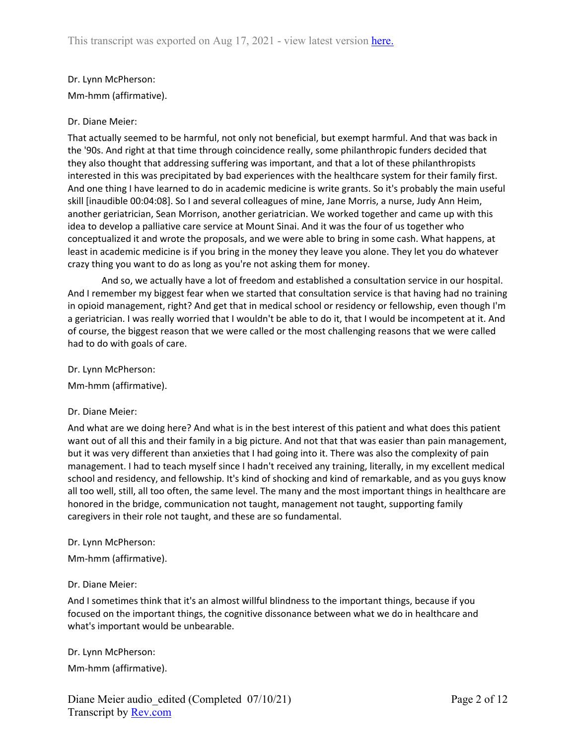# Dr. Lynn McPherson: Mm-hmm (affirmative).

## Dr. Diane Meier:

That actually seemed to be harmful, not only not beneficial, but exempt harmful. And that was back in the '90s. And right at that time through coincidence really, some philanthropic funders decided that they also thought that addressing suffering was important, and that a lot of these philanthropists interested in this was precipitated by bad experiences with the healthcare system for their family first. And one thing I have learned to do in academic medicine is write grants. So it's probably the main useful skill [inaudible 00:04:08]. So I and several colleagues of mine, Jane Morris, a nurse, Judy Ann Heim, another geriatrician, Sean Morrison, another geriatrician. We worked together and came up with this idea to develop a palliative care service at Mount Sinai. And it was the four of us together who conceptualized it and wrote the proposals, and we were able to bring in some cash. What happens, at least in academic medicine is if you bring in the money they leave you alone. They let you do whatever crazy thing you want to do as long as you're not asking them for money.

And so, we actually have a lot of freedom and established a consultation service in our hospital. And I remember my biggest fear when we started that consultation service is that having had no training in opioid management, right? And get that in medical school or residency or fellowship, even though I'm a geriatrician. I was really worried that I wouldn't be able to do it, that I would be incompetent at it. And of course, the biggest reason that we were called or the most challenging reasons that we were called had to do with goals of care.

Dr. Lynn McPherson:

Mm-hmm (affirmative).

### Dr. Diane Meier:

And what are we doing here? And what is in the best interest of this patient and what does this patient want out of all this and their family in a big picture. And not that that was easier than pain management, but it was very different than anxieties that I had going into it. There was also the complexity of pain management. I had to teach myself since I hadn't received any training, literally, in my excellent medical school and residency, and fellowship. It's kind of shocking and kind of remarkable, and as you guys know all too well, still, all too often, the same level. The many and the most important things in healthcare are honored in the bridge, communication not taught, management not taught, supporting family caregivers in their role not taught, and these are so fundamental.

#### Dr. Lynn McPherson:

Mm-hmm (affirmative).

### Dr. Diane Meier:

And I sometimes think that it's an almost willful blindness to the important things, because if you focused on the important things, the cognitive dissonance between what we do in healthcare and what's important would be unbearable.

Dr. Lynn McPherson: Mm-hmm (affirmative).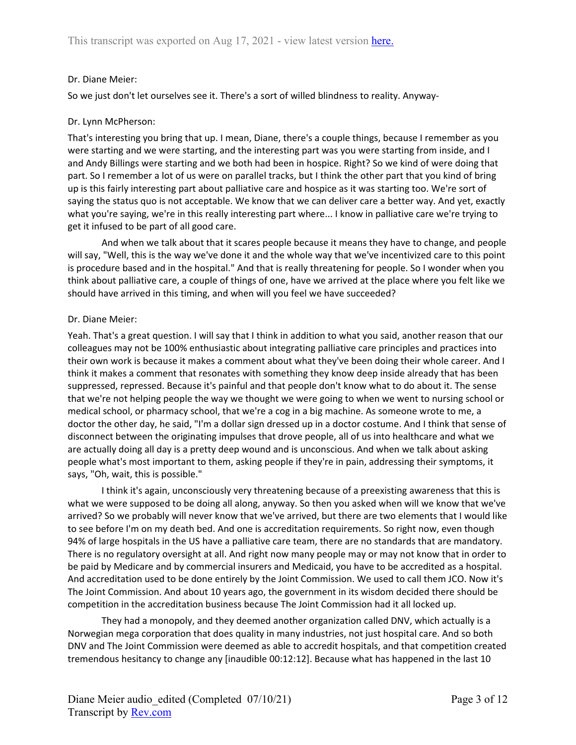## Dr. Diane Meier:

So we just don't let ourselves see it. There's a sort of willed blindness to reality. Anyway-

## Dr. Lynn McPherson:

That's interesting you bring that up. I mean, Diane, there's a couple things, because I remember as you were starting and we were starting, and the interesting part was you were starting from inside, and I and Andy Billings were starting and we both had been in hospice. Right? So we kind of were doing that part. So I remember a lot of us were on parallel tracks, but I think the other part that you kind of bring up is this fairly interesting part about palliative care and hospice as it was starting too. We're sort of saying the status quo is not acceptable. We know that we can deliver care a better way. And yet, exactly what you're saying, we're in this really interesting part where... I know in palliative care we're trying to get it infused to be part of all good care.

And when we talk about that it scares people because it means they have to change, and people will say, "Well, this is the way we've done it and the whole way that we've incentivized care to this point is procedure based and in the hospital." And that is really threatening for people. So I wonder when you think about palliative care, a couple of things of one, have we arrived at the place where you felt like we should have arrived in this timing, and when will you feel we have succeeded?

### Dr. Diane Meier:

Yeah. That's a great question. I will say that I think in addition to what you said, another reason that our colleagues may not be 100% enthusiastic about integrating palliative care principles and practices into their own work is because it makes a comment about what they've been doing their whole career. And I think it makes a comment that resonates with something they know deep inside already that has been suppressed, repressed. Because it's painful and that people don't know what to do about it. The sense that we're not helping people the way we thought we were going to when we went to nursing school or medical school, or pharmacy school, that we're a cog in a big machine. As someone wrote to me, a doctor the other day, he said, "I'm a dollar sign dressed up in a doctor costume. And I think that sense of disconnect between the originating impulses that drove people, all of us into healthcare and what we are actually doing all day is a pretty deep wound and is unconscious. And when we talk about asking people what's most important to them, asking people if they're in pain, addressing their symptoms, it says, "Oh, wait, this is possible."

I think it's again, unconsciously very threatening because of a preexisting awareness that this is what we were supposed to be doing all along, anyway. So then you asked when will we know that we've arrived? So we probably will never know that we've arrived, but there are two elements that I would like to see before I'm on my death bed. And one is accreditation requirements. So right now, even though 94% of large hospitals in the US have a palliative care team, there are no standards that are mandatory. There is no regulatory oversight at all. And right now many people may or may not know that in order to be paid by Medicare and by commercial insurers and Medicaid, you have to be accredited as a hospital. And accreditation used to be done entirely by the Joint Commission. We used to call them JCO. Now it's The Joint Commission. And about 10 years ago, the government in its wisdom decided there should be competition in the accreditation business because The Joint Commission had it all locked up.

They had a monopoly, and they deemed another organization called DNV, which actually is a Norwegian mega corporation that does quality in many industries, not just hospital care. And so both DNV and The Joint Commission were deemed as able to accredit hospitals, and that competition created tremendous hesitancy to change any [inaudible 00:12:12]. Because what has happened in the last 10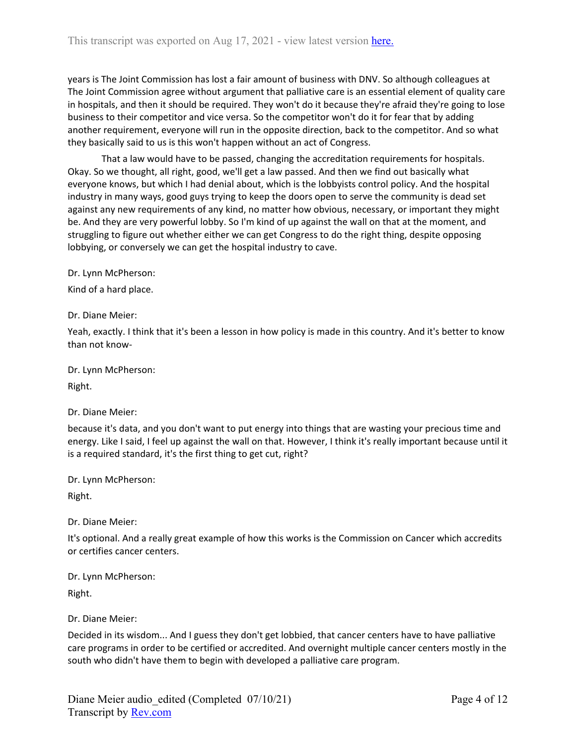years is The Joint Commission has lost a fair amount of business with DNV. So although colleagues at The Joint Commission agree without argument that palliative care is an essential element of quality care in hospitals, and then it should be required. They won't do it because they're afraid they're going to lose business to their competitor and vice versa. So the competitor won't do it for fear that by adding another requirement, everyone will run in the opposite direction, back to the competitor. And so what they basically said to us is this won't happen without an act of Congress.

That a law would have to be passed, changing the accreditation requirements for hospitals. Okay. So we thought, all right, good, we'll get a law passed. And then we find out basically what everyone knows, but which I had denial about, which is the lobbyists control policy. And the hospital industry in many ways, good guys trying to keep the doors open to serve the community is dead set against any new requirements of any kind, no matter how obvious, necessary, or important they might be. And they are very powerful lobby. So I'm kind of up against the wall on that at the moment, and struggling to figure out whether either we can get Congress to do the right thing, despite opposing lobbying, or conversely we can get the hospital industry to cave.

Dr. Lynn McPherson:

Kind of a hard place.

Dr. Diane Meier:

Yeah, exactly. I think that it's been a lesson in how policy is made in this country. And it's better to know than not know-

Dr. Lynn McPherson:

Right.

Dr. Diane Meier:

because it's data, and you don't want to put energy into things that are wasting your precious time and energy. Like I said, I feel up against the wall on that. However, I think it's really important because until it is a required standard, it's the first thing to get cut, right?

Dr. Lynn McPherson:

Right.

Dr. Diane Meier:

It's optional. And a really great example of how this works is the Commission on Cancer which accredits or certifies cancer centers.

Dr. Lynn McPherson:

Right.

Dr. Diane Meier:

Decided in its wisdom... And I guess they don't get lobbied, that cancer centers have to have palliative care programs in order to be certified or accredited. And overnight multiple cancer centers mostly in the south who didn't have them to begin with developed a palliative care program.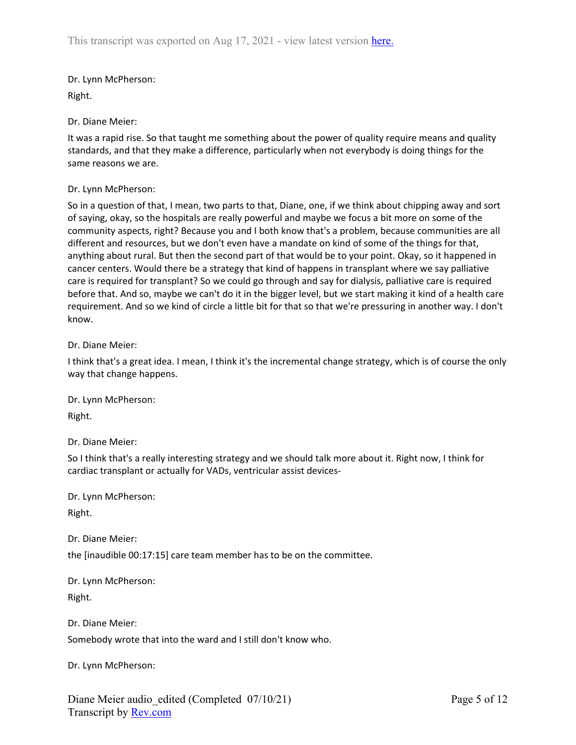Dr. Lynn McPherson: Right.

Dr. Diane Meier:

It was a rapid rise. So that taught me something about the power of quality require means and quality standards, and that they make a difference, particularly when not everybody is doing things for the same reasons we are.

## Dr. Lynn McPherson:

So in a question of that, I mean, two parts to that, Diane, one, if we think about chipping away and sort of saying, okay, so the hospitals are really powerful and maybe we focus a bit more on some of the community aspects, right? Because you and I both know that's a problem, because communities are all different and resources, but we don't even have a mandate on kind of some of the things for that, anything about rural. But then the second part of that would be to your point. Okay, so it happened in cancer centers. Would there be a strategy that kind of happens in transplant where we say palliative care is required for transplant? So we could go through and say for dialysis, palliative care is required before that. And so, maybe we can't do it in the bigger level, but we start making it kind of a health care requirement. And so we kind of circle a little bit for that so that we're pressuring in another way. I don't know.

### Dr. Diane Meier:

I think that's a great idea. I mean, I think it's the incremental change strategy, which is of course the only way that change happens.

Dr. Lynn McPherson:

Right.

Dr. Diane Meier:

So I think that's a really interesting strategy and we should talk more about it. Right now, I think for cardiac transplant or actually for VADs, ventricular assist devices-

Dr. Lynn McPherson:

Right.

Dr. Diane Meier:

the [inaudible 00:17:15] care team member has to be on the committee.

Dr. Lynn McPherson:

Right.

Dr. Diane Meier: Somebody wrote that into the ward and I still don't know who.

Dr. Lynn McPherson: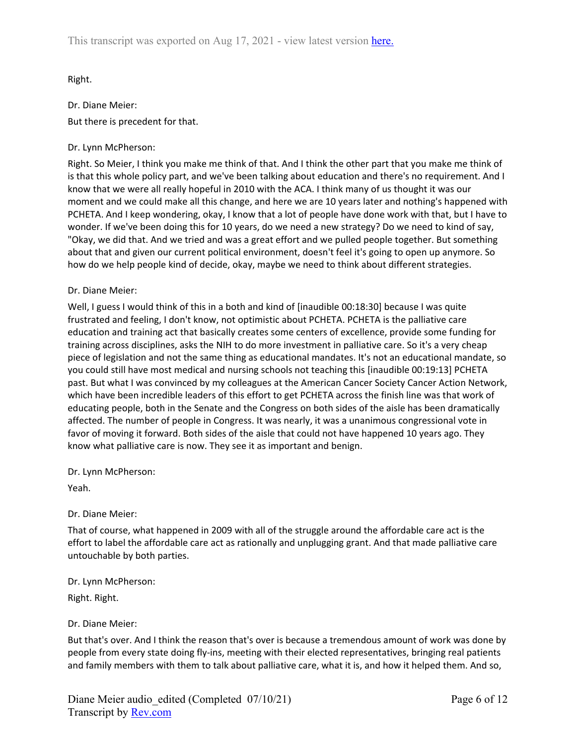Right.

Dr. Diane Meier: But there is precedent for that.

## Dr. Lynn McPherson:

Right. So Meier, I think you make me think of that. And I think the other part that you make me think of is that this whole policy part, and we've been talking about education and there's no requirement. And I know that we were all really hopeful in 2010 with the ACA. I think many of us thought it was our moment and we could make all this change, and here we are 10 years later and nothing's happened with PCHETA. And I keep wondering, okay, I know that a lot of people have done work with that, but I have to wonder. If we've been doing this for 10 years, do we need a new strategy? Do we need to kind of say, "Okay, we did that. And we tried and was a great effort and we pulled people together. But something about that and given our current political environment, doesn't feel it's going to open up anymore. So how do we help people kind of decide, okay, maybe we need to think about different strategies.

## Dr. Diane Meier:

Well, I guess I would think of this in a both and kind of [inaudible 00:18:30] because I was quite frustrated and feeling, I don't know, not optimistic about PCHETA. PCHETA is the palliative care education and training act that basically creates some centers of excellence, provide some funding for training across disciplines, asks the NIH to do more investment in palliative care. So it's a very cheap piece of legislation and not the same thing as educational mandates. It's not an educational mandate, so you could still have most medical and nursing schools not teaching this [inaudible 00:19:13] PCHETA past. But what I was convinced by my colleagues at the American Cancer Society Cancer Action Network, which have been incredible leaders of this effort to get PCHETA across the finish line was that work of educating people, both in the Senate and the Congress on both sides of the aisle has been dramatically affected. The number of people in Congress. It was nearly, it was a unanimous congressional vote in favor of moving it forward. Both sides of the aisle that could not have happened 10 years ago. They know what palliative care is now. They see it as important and benign.

Dr. Lynn McPherson:

Yeah.

# Dr. Diane Meier:

That of course, what happened in 2009 with all of the struggle around the affordable care act is the effort to label the affordable care act as rationally and unplugging grant. And that made palliative care untouchable by both parties.

Dr. Lynn McPherson:

Right. Right.

# Dr. Diane Meier:

But that's over. And I think the reason that's over is because a tremendous amount of work was done by people from every state doing fly-ins, meeting with their elected representatives, bringing real patients and family members with them to talk about palliative care, what it is, and how it helped them. And so,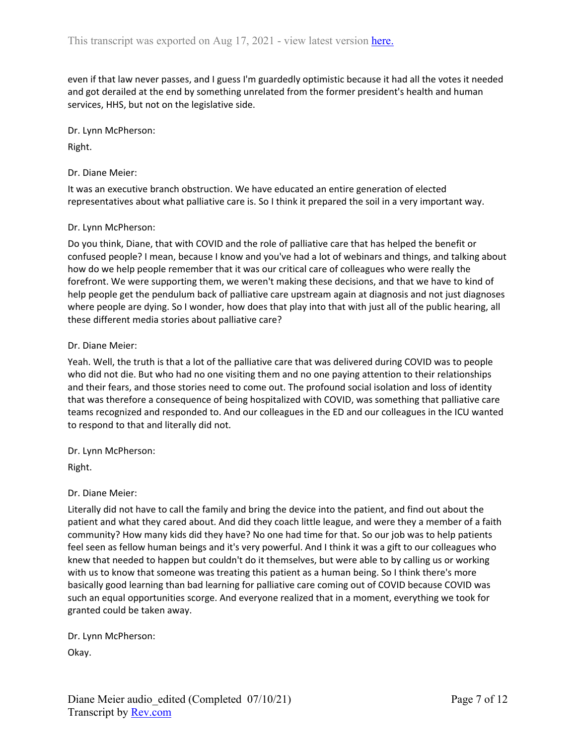even if that law never passes, and I guess I'm guardedly optimistic because it had all the votes it needed and got derailed at the end by something unrelated from the former president's health and human services, HHS, but not on the legislative side.

Dr. Lynn McPherson:

Right.

Dr. Diane Meier:

It was an executive branch obstruction. We have educated an entire generation of elected representatives about what palliative care is. So I think it prepared the soil in a very important way.

#### Dr. Lynn McPherson:

Do you think, Diane, that with COVID and the role of palliative care that has helped the benefit or confused people? I mean, because I know and you've had a lot of webinars and things, and talking about how do we help people remember that it was our critical care of colleagues who were really the forefront. We were supporting them, we weren't making these decisions, and that we have to kind of help people get the pendulum back of palliative care upstream again at diagnosis and not just diagnoses where people are dying. So I wonder, how does that play into that with just all of the public hearing, all these different media stories about palliative care?

#### Dr. Diane Meier:

Yeah. Well, the truth is that a lot of the palliative care that was delivered during COVID was to people who did not die. But who had no one visiting them and no one paying attention to their relationships and their fears, and those stories need to come out. The profound social isolation and loss of identity that was therefore a consequence of being hospitalized with COVID, was something that palliative care teams recognized and responded to. And our colleagues in the ED and our colleagues in the ICU wanted to respond to that and literally did not.

Dr. Lynn McPherson:

Right.

### Dr. Diane Meier:

Literally did not have to call the family and bring the device into the patient, and find out about the patient and what they cared about. And did they coach little league, and were they a member of a faith community? How many kids did they have? No one had time for that. So our job was to help patients feel seen as fellow human beings and it's very powerful. And I think it was a gift to our colleagues who knew that needed to happen but couldn't do it themselves, but were able to by calling us or working with us to know that someone was treating this patient as a human being. So I think there's more basically good learning than bad learning for palliative care coming out of COVID because COVID was such an equal opportunities scorge. And everyone realized that in a moment, everything we took for granted could be taken away.

Dr. Lynn McPherson:

Okay.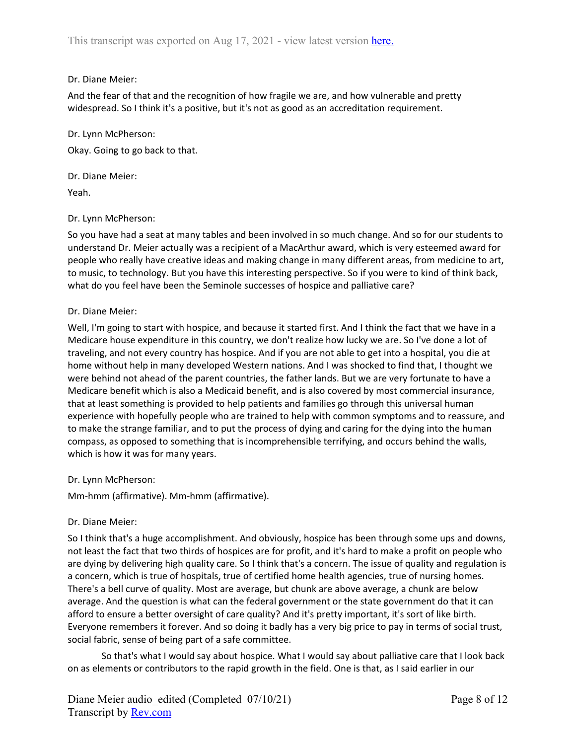## Dr. Diane Meier:

And the fear of that and the recognition of how fragile we are, and how vulnerable and pretty widespread. So I think it's a positive, but it's not as good as an accreditation requirement.

Dr. Lynn McPherson: Okay. Going to go back to that.

Dr. Diane Meier: Yeah.

### Dr. Lynn McPherson:

So you have had a seat at many tables and been involved in so much change. And so for our students to understand Dr. Meier actually was a recipient of a MacArthur award, which is very esteemed award for people who really have creative ideas and making change in many different areas, from medicine to art, to music, to technology. But you have this interesting perspective. So if you were to kind of think back, what do you feel have been the Seminole successes of hospice and palliative care?

## Dr. Diane Meier:

Well, I'm going to start with hospice, and because it started first. And I think the fact that we have in a Medicare house expenditure in this country, we don't realize how lucky we are. So I've done a lot of traveling, and not every country has hospice. And if you are not able to get into a hospital, you die at home without help in many developed Western nations. And I was shocked to find that, I thought we were behind not ahead of the parent countries, the father lands. But we are very fortunate to have a Medicare benefit which is also a Medicaid benefit, and is also covered by most commercial insurance, that at least something is provided to help patients and families go through this universal human experience with hopefully people who are trained to help with common symptoms and to reassure, and to make the strange familiar, and to put the process of dying and caring for the dying into the human compass, as opposed to something that is incomprehensible terrifying, and occurs behind the walls, which is how it was for many years.

### Dr. Lynn McPherson:

Mm-hmm (affirmative). Mm-hmm (affirmative).

## Dr. Diane Meier:

So I think that's a huge accomplishment. And obviously, hospice has been through some ups and downs, not least the fact that two thirds of hospices are for profit, and it's hard to make a profit on people who are dying by delivering high quality care. So I think that's a concern. The issue of quality and regulation is a concern, which is true of hospitals, true of certified home health agencies, true of nursing homes. There's a bell curve of quality. Most are average, but chunk are above average, a chunk are below average. And the question is what can the federal government or the state government do that it can afford to ensure a better oversight of care quality? And it's pretty important, it's sort of like birth. Everyone remembers it forever. And so doing it badly has a very big price to pay in terms of social trust, social fabric, sense of being part of a safe committee.

So that's what I would say about hospice. What I would say about palliative care that I look back on as elements or contributors to the rapid growth in the field. One is that, as I said earlier in our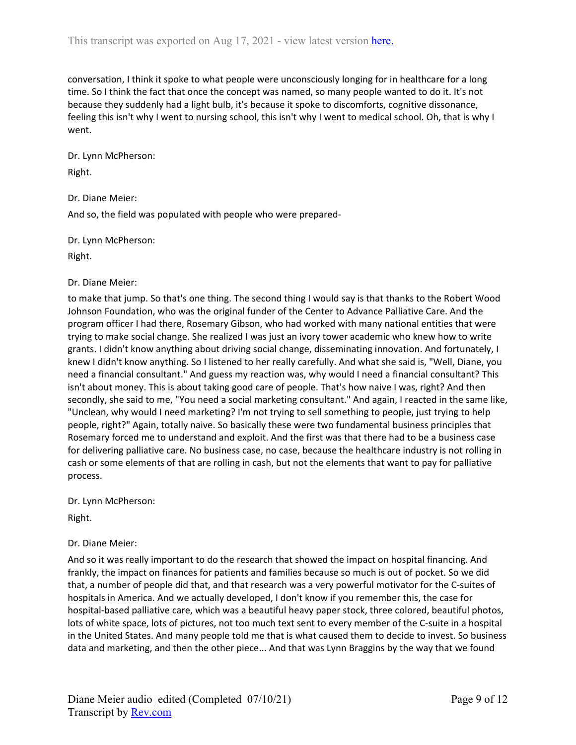conversation, I think it spoke to what people were unconsciously longing for in healthcare for a long time. So I think the fact that once the concept was named, so many people wanted to do it. It's not because they suddenly had a light bulb, it's because it spoke to discomforts, cognitive dissonance, feeling this isn't why I went to nursing school, this isn't why I went to medical school. Oh, that is why I went.

Dr. Lynn McPherson:

Right.

Dr. Diane Meier:

And so, the field was populated with people who were prepared-

Dr. Lynn McPherson:

Right.

## Dr. Diane Meier:

to make that jump. So that's one thing. The second thing I would say is that thanks to the Robert Wood Johnson Foundation, who was the original funder of the Center to Advance Palliative Care. And the program officer I had there, Rosemary Gibson, who had worked with many national entities that were trying to make social change. She realized I was just an ivory tower academic who knew how to write grants. I didn't know anything about driving social change, disseminating innovation. And fortunately, I knew I didn't know anything. So I listened to her really carefully. And what she said is, "Well, Diane, you need a financial consultant." And guess my reaction was, why would I need a financial consultant? This isn't about money. This is about taking good care of people. That's how naive I was, right? And then secondly, she said to me, "You need a social marketing consultant." And again, I reacted in the same like, "Unclean, why would I need marketing? I'm not trying to sell something to people, just trying to help people, right?" Again, totally naive. So basically these were two fundamental business principles that Rosemary forced me to understand and exploit. And the first was that there had to be a business case for delivering palliative care. No business case, no case, because the healthcare industry is not rolling in cash or some elements of that are rolling in cash, but not the elements that want to pay for palliative process.

Dr. Lynn McPherson:

Right.

## Dr. Diane Meier:

And so it was really important to do the research that showed the impact on hospital financing. And frankly, the impact on finances for patients and families because so much is out of pocket. So we did that, a number of people did that, and that research was a very powerful motivator for the C-suites of hospitals in America. And we actually developed, I don't know if you remember this, the case for hospital-based palliative care, which was a beautiful heavy paper stock, three colored, beautiful photos, lots of white space, lots of pictures, not too much text sent to every member of the C-suite in a hospital in the United States. And many people told me that is what caused them to decide to invest. So business data and marketing, and then the other piece... And that was Lynn Braggins by the way that we found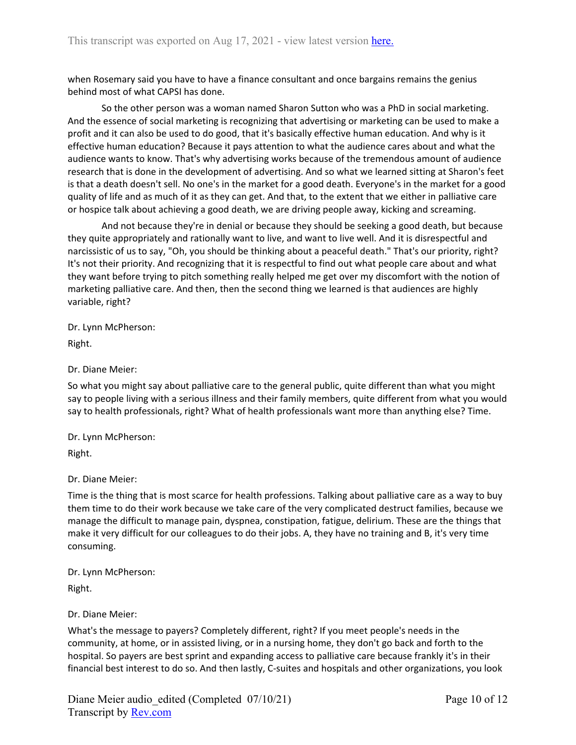when Rosemary said you have to have a finance consultant and once bargains remains the genius behind most of what CAPSI has done.

So the other person was a woman named Sharon Sutton who was a PhD in social marketing. And the essence of social marketing is recognizing that advertising or marketing can be used to make a profit and it can also be used to do good, that it's basically effective human education. And why is it effective human education? Because it pays attention to what the audience cares about and what the audience wants to know. That's why advertising works because of the tremendous amount of audience research that is done in the development of advertising. And so what we learned sitting at Sharon's feet is that a death doesn't sell. No one's in the market for a good death. Everyone's in the market for a good quality of life and as much of it as they can get. And that, to the extent that we either in palliative care or hospice talk about achieving a good death, we are driving people away, kicking and screaming.

And not because they're in denial or because they should be seeking a good death, but because they quite appropriately and rationally want to live, and want to live well. And it is disrespectful and narcissistic of us to say, "Oh, you should be thinking about a peaceful death." That's our priority, right? It's not their priority. And recognizing that it is respectful to find out what people care about and what they want before trying to pitch something really helped me get over my discomfort with the notion of marketing palliative care. And then, then the second thing we learned is that audiences are highly variable, right?

Dr. Lynn McPherson:

Right.

Dr. Diane Meier:

So what you might say about palliative care to the general public, quite different than what you might say to people living with a serious illness and their family members, quite different from what you would say to health professionals, right? What of health professionals want more than anything else? Time.

Dr. Lynn McPherson:

Right.

Dr. Diane Meier:

Time is the thing that is most scarce for health professions. Talking about palliative care as a way to buy them time to do their work because we take care of the very complicated destruct families, because we manage the difficult to manage pain, dyspnea, constipation, fatigue, delirium. These are the things that make it very difficult for our colleagues to do their jobs. A, they have no training and B, it's very time consuming.

Dr. Lynn McPherson:

Right.

Dr. Diane Meier:

What's the message to payers? Completely different, right? If you meet people's needs in the community, at home, or in assisted living, or in a nursing home, they don't go back and forth to the hospital. So payers are best sprint and expanding access to palliative care because frankly it's in their financial best interest to do so. And then lastly, C-suites and hospitals and other organizations, you look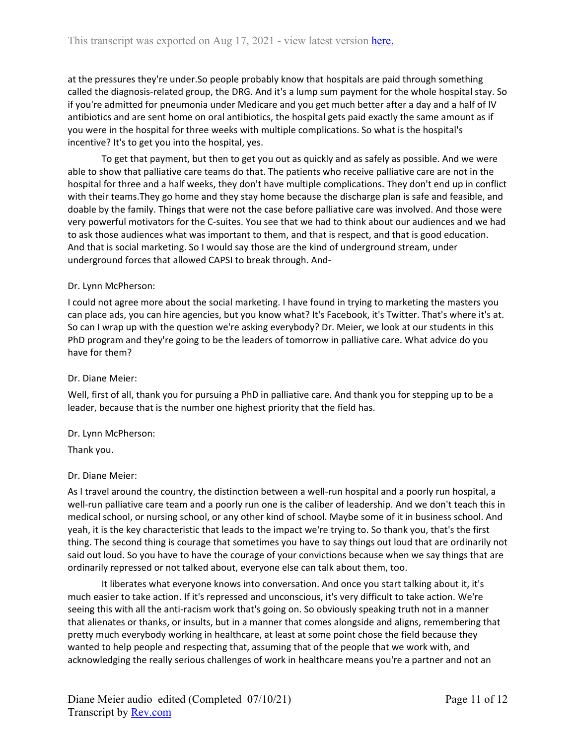at the pressures they're under.So people probably know that hospitals are paid through something called the diagnosis-related group, the DRG. And it's a lump sum payment for the whole hospital stay. So if you're admitted for pneumonia under Medicare and you get much better after a day and a half of IV antibiotics and are sent home on oral antibiotics, the hospital gets paid exactly the same amount as if you were in the hospital for three weeks with multiple complications. So what is the hospital's incentive? It's to get you into the hospital, yes.

To get that payment, but then to get you out as quickly and as safely as possible. And we were able to show that palliative care teams do that. The patients who receive palliative care are not in the hospital for three and a half weeks, they don't have multiple complications. They don't end up in conflict with their teams.They go home and they stay home because the discharge plan is safe and feasible, and doable by the family. Things that were not the case before palliative care was involved. And those were very powerful motivators for the C-suites. You see that we had to think about our audiences and we had to ask those audiences what was important to them, and that is respect, and that is good education. And that is social marketing. So I would say those are the kind of underground stream, under underground forces that allowed CAPSI to break through. And-

### Dr. Lynn McPherson:

I could not agree more about the social marketing. I have found in trying to marketing the masters you can place ads, you can hire agencies, but you know what? It's Facebook, it's Twitter. That's where it's at. So can I wrap up with the question we're asking everybody? Dr. Meier, we look at our students in this PhD program and they're going to be the leaders of tomorrow in palliative care. What advice do you have for them?

## Dr. Diane Meier:

Well, first of all, thank you for pursuing a PhD in palliative care. And thank you for stepping up to be a leader, because that is the number one highest priority that the field has.

### Dr. Lynn McPherson:

Thank you.

### Dr. Diane Meier:

As I travel around the country, the distinction between a well-run hospital and a poorly run hospital, a well-run palliative care team and a poorly run one is the caliber of leadership. And we don't teach this in medical school, or nursing school, or any other kind of school. Maybe some of it in business school. And yeah, it is the key characteristic that leads to the impact we're trying to. So thank you, that's the first thing. The second thing is courage that sometimes you have to say things out loud that are ordinarily not said out loud. So you have to have the courage of your convictions because when we say things that are ordinarily repressed or not talked about, everyone else can talk about them, too.

It liberates what everyone knows into conversation. And once you start talking about it, it's much easier to take action. If it's repressed and unconscious, it's very difficult to take action. We're seeing this with all the anti-racism work that's going on. So obviously speaking truth not in a manner that alienates or thanks, or insults, but in a manner that comes alongside and aligns, remembering that pretty much everybody working in healthcare, at least at some point chose the field because they wanted to help people and respecting that, assuming that of the people that we work with, and acknowledging the really serious challenges of work in healthcare means you're a partner and not an